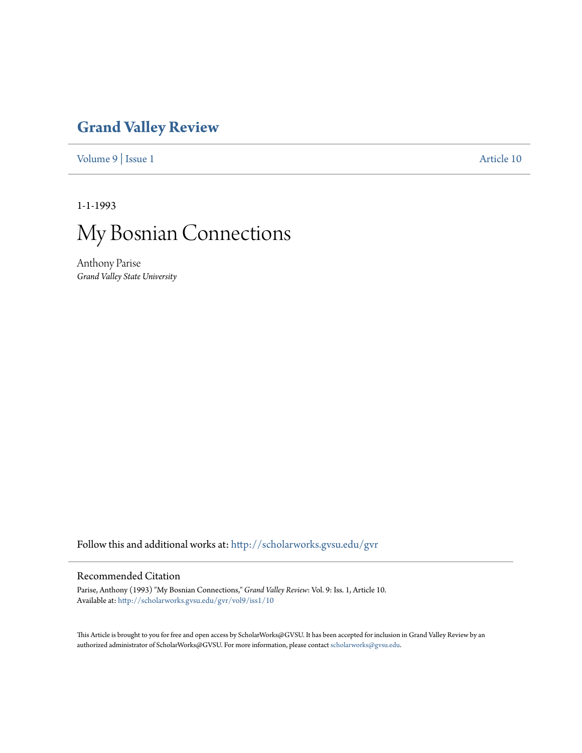## **[Grand Valley Review](http://scholarworks.gvsu.edu/gvr?utm_source=scholarworks.gvsu.edu%2Fgvr%2Fvol9%2Fiss1%2F10&utm_medium=PDF&utm_campaign=PDFCoverPages)**

[Volume 9](http://scholarworks.gvsu.edu/gvr/vol9?utm_source=scholarworks.gvsu.edu%2Fgvr%2Fvol9%2Fiss1%2F10&utm_medium=PDF&utm_campaign=PDFCoverPages) | [Issue 1](http://scholarworks.gvsu.edu/gvr/vol9/iss1?utm_source=scholarworks.gvsu.edu%2Fgvr%2Fvol9%2Fiss1%2F10&utm_medium=PDF&utm_campaign=PDFCoverPages) [Article 10](http://scholarworks.gvsu.edu/gvr/vol9/iss1/10?utm_source=scholarworks.gvsu.edu%2Fgvr%2Fvol9%2Fiss1%2F10&utm_medium=PDF&utm_campaign=PDFCoverPages)

1-1-1993



Anthony Parise *Grand Valley State University*

Follow this and additional works at: [http://scholarworks.gvsu.edu/gvr](http://scholarworks.gvsu.edu/gvr?utm_source=scholarworks.gvsu.edu%2Fgvr%2Fvol9%2Fiss1%2F10&utm_medium=PDF&utm_campaign=PDFCoverPages)

## Recommended Citation

Parise, Anthony (1993) "My Bosnian Connections," *Grand Valley Review*: Vol. 9: Iss. 1, Article 10. Available at: [http://scholarworks.gvsu.edu/gvr/vol9/iss1/10](http://scholarworks.gvsu.edu/gvr/vol9/iss1/10?utm_source=scholarworks.gvsu.edu%2Fgvr%2Fvol9%2Fiss1%2F10&utm_medium=PDF&utm_campaign=PDFCoverPages)

This Article is brought to you for free and open access by ScholarWorks@GVSU. It has been accepted for inclusion in Grand Valley Review by an authorized administrator of ScholarWorks@GVSU. For more information, please contact [scholarworks@gvsu.edu.](mailto:scholarworks@gvsu.edu)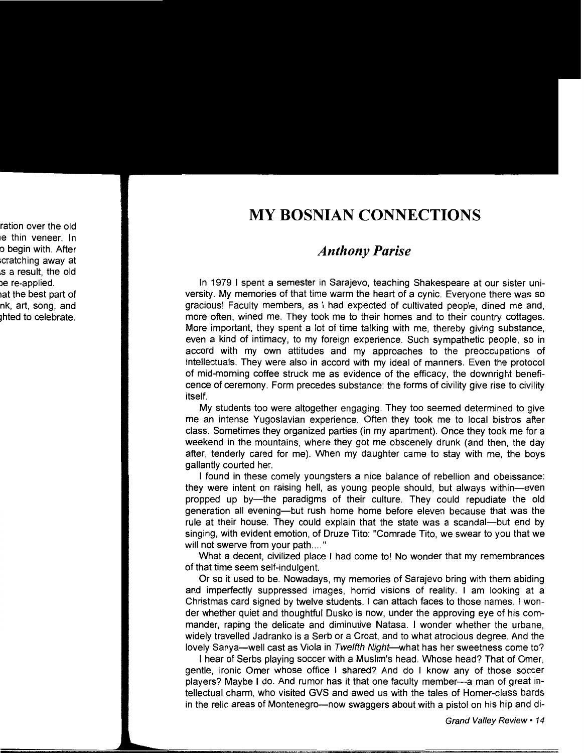## **MY BOSNIAN CONNECTIONS**

## *Anthony Parise*

In 1979 I spent a semester in Sarajevo, teaching Shakespeare at our sister university. My memories of that time warm the heart of a cynic. Everyone there was so gracious! Faculty members, as I had expected of cultivated people, dined me and, more often, wined me. They took me to their homes and to their country cottages. More important, they spent a lot of time talking with me, thereby giving substance, even a kind of intimacy, to my foreign experience. Such sympathetic people, so in accord with my own attitudes and my approaches to the preoccupations of intellectuals. They were also in accord with my ideal of manners. Even the protocol of mid-morning coffee struck me as evidence of the efficacy, the downright beneficence of ceremony. Form precedes substance: the forms of civility give rise to civility itself.

My students too were altogether engaging. They too seemed determined to give me an intense Yugoslavian experience. Often they took me to local bistros after class. Sometimes they organized parties (in my apartment). Once they took me for a weekend in the mountains, where they got me obscenely drunk (and then, the day after, tenderly cared for me). When my daughter came to stay with me, the boys gallantly courted her.

I found in these comely youngsters a nice balance of rebellion and obeissance: they were intent on raising hell, as young people should, but always within-even propped up by-the paradigms of their culture. They could repudiate the old generation all evening-but rush home home before eleven because that was the rule at their house. They could explain that the state was a scandal—but end by singing, with evident emotion, of Druze Tito: "Comrade Tito, we swear to you that we will not swerve from your path...."

What a decent, civilized place I had come to! No wonder that my remembrances of that time seem self-indulgent.

Or so it used to be. Nowadays, my memories of Sarajevo bring with them abiding and imperfectly suppressed images, horrid visions of reality. I am looking at a Christmas card signed by twelve students. I can attach faces to those names. I wonder whether quiet and thoughtful Dusko is now, under the approving eye of his commander, raping the delicate and diminutive Natasa. I wonder whether the urbane, widely travelled Jadranko is a Serb or a Croat, and to what atrocious degree. And the lovely Sanya—well cast as Viola in Twelfth Night—what has her sweetness come to?

I hear of Serbs playing soccer with a Muslim's head. Whose head? That of Orner, gentle, ironic Omer whose office I shared? And do I know any of those soccer players? Maybe I do. And rumor has it that one faculty member-a man or great intellectual charm, who visited GVS and awed us with the tales of Homer-class bards in the relic areas of Montenegro-now swaggers about with a pistol on his hip and di